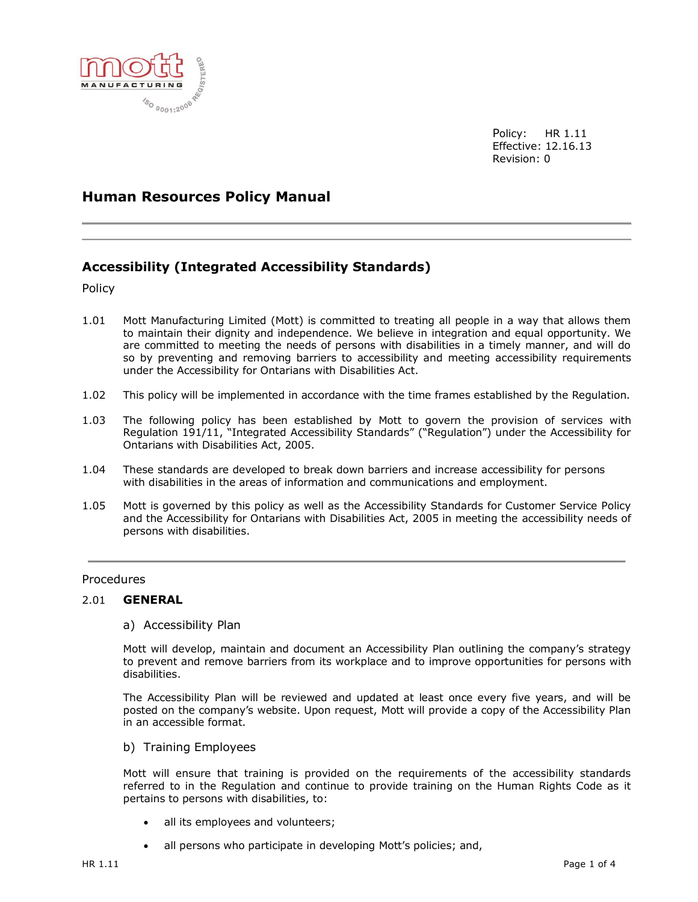

Policy: HR 1.11 Effective: 12.16.13 Revision: 0

# **Human Resources Policy Manual**

# **Accessibility (Integrated Accessibility Standards)**

Policy

- 1.01 Mott Manufacturing Limited (Mott) is committed to treating all people in a way that allows them to maintain their dignity and independence. We believe in integration and equal opportunity. We are committed to meeting the needs of persons with disabilities in a timely manner, and will do so by preventing and removing barriers to accessibility and meeting accessibility requirements under the Accessibility for Ontarians with Disabilities Act.
- 1.02 This policy will be implemented in accordance with the time frames established by the Regulation.
- 1.03 The following policy has been established by Mott to govern the provision of services with Regulation 191/11, "Integrated Accessibility Standards" ("Regulation") under the Accessibility for Ontarians with Disabilities Act, 2005.
- 1.04 These standards are developed to break down barriers and increase accessibility for persons with disabilities in the areas of information and communications and employment.
- 1.05 Mott is governed by this policy as well as the Accessibility Standards for Customer Service Policy and the Accessibility for Ontarians with Disabilities Act, 2005 in meeting the accessibility needs of persons with disabilities.

## **Procedures**

#### 2.01 **GENERAL**

## a) Accessibility Plan

Mott will develop, maintain and document an Accessibility Plan outlining the company's strategy to prevent and remove barriers from its workplace and to improve opportunities for persons with disabilities.

The Accessibility Plan will be reviewed and updated at least once every five years, and will be posted on the company's website. Upon request, Mott will provide a copy of the Accessibility Plan in an accessible format.

b) Training Employees

Mott will ensure that training is provided on the requirements of the accessibility standards referred to in the Regulation and continue to provide training on the Human Rights Code as it pertains to persons with disabilities, to:

- all its employees and volunteers;
- all persons who participate in developing Mott's policies; and,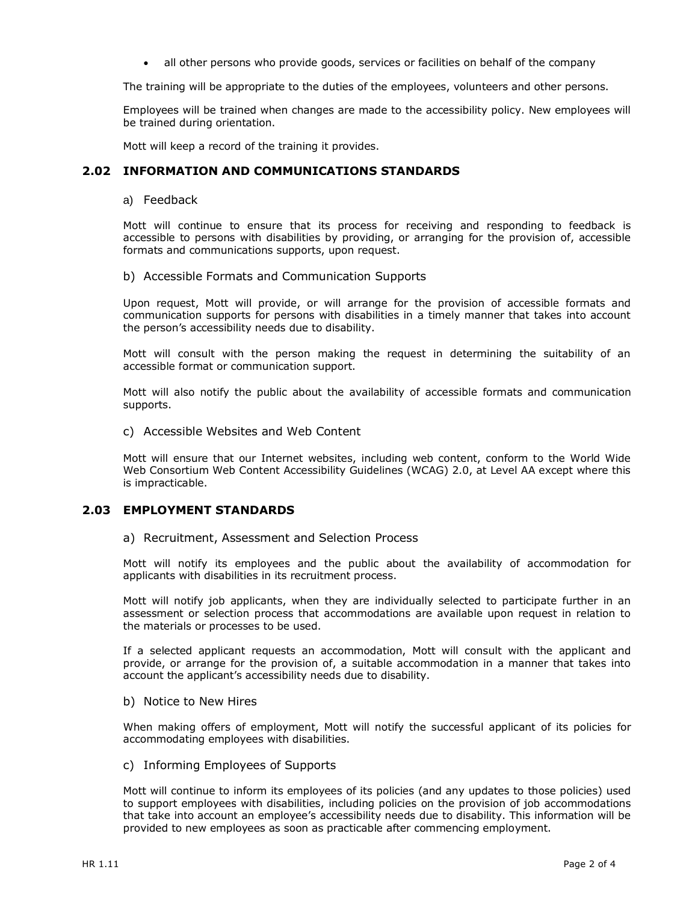all other persons who provide goods, services or facilities on behalf of the company

The training will be appropriate to the duties of the employees, volunteers and other persons.

Employees will be trained when changes are made to the accessibility policy. New employees will be trained during orientation.

Mott will keep a record of the training it provides.

## **2.02 INFORMATION AND COMMUNICATIONS STANDARDS**

a) Feedback

Mott will continue to ensure that its process for receiving and responding to feedback is accessible to persons with disabilities by providing, or arranging for the provision of, accessible formats and communications supports, upon request.

### b) Accessible Formats and Communication Supports

Upon request, Mott will provide, or will arrange for the provision of accessible formats and communication supports for persons with disabilities in a timely manner that takes into account the person's accessibility needs due to disability.

Mott will consult with the person making the request in determining the suitability of an accessible format or communication support.

Mott will also notify the public about the availability of accessible formats and communication supports.

c) Accessible Websites and Web Content

Mott will ensure that our Internet websites, including web content, conform to the World Wide Web Consortium Web Content Accessibility Guidelines (WCAG) 2.0, at Level AA except where this is impracticable.

## **2.03 EMPLOYMENT STANDARDS**

#### a) Recruitment, Assessment and Selection Process

Mott will notify its employees and the public about the availability of accommodation for applicants with disabilities in its recruitment process.

Mott will notify job applicants, when they are individually selected to participate further in an assessment or selection process that accommodations are available upon request in relation to the materials or processes to be used.

If a selected applicant requests an accommodation, Mott will consult with the applicant and provide, or arrange for the provision of, a suitable accommodation in a manner that takes into account the applicant's accessibility needs due to disability.

## b) Notice to New Hires

When making offers of employment, Mott will notify the successful applicant of its policies for accommodating employees with disabilities.

### c) Informing Employees of Supports

Mott will continue to inform its employees of its policies (and any updates to those policies) used to support employees with disabilities, including policies on the provision of job accommodations that take into account an employee's accessibility needs due to disability. This information will be provided to new employees as soon as practicable after commencing employment.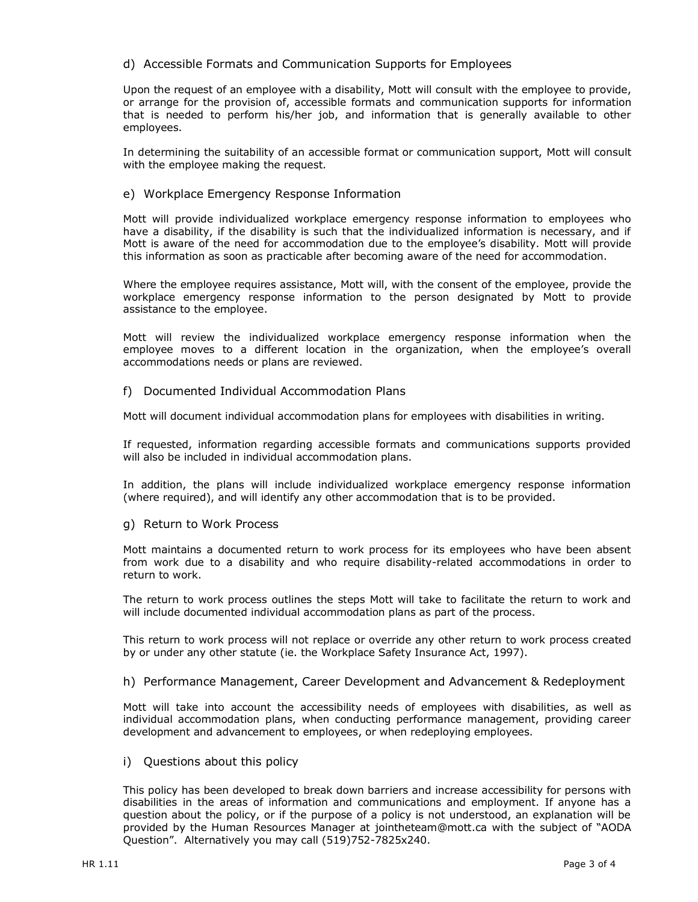## d) Accessible Formats and Communication Supports for Employees

Upon the request of an employee with a disability, Mott will consult with the employee to provide, or arrange for the provision of, accessible formats and communication supports for information that is needed to perform his/her job, and information that is generally available to other employees.

In determining the suitability of an accessible format or communication support, Mott will consult with the employee making the request.

## e) Workplace Emergency Response Information

Mott will provide individualized workplace emergency response information to employees who have a disability, if the disability is such that the individualized information is necessary, and if Mott is aware of the need for accommodation due to the employee's disability. Mott will provide this information as soon as practicable after becoming aware of the need for accommodation.

Where the employee requires assistance, Mott will, with the consent of the employee, provide the workplace emergency response information to the person designated by Mott to provide assistance to the employee.

Mott will review the individualized workplace emergency response information when the employee moves to a different location in the organization, when the employee's overall accommodations needs or plans are reviewed.

## f) Documented Individual Accommodation Plans

Mott will document individual accommodation plans for employees with disabilities in writing.

If requested, information regarding accessible formats and communications supports provided will also be included in individual accommodation plans.

In addition, the plans will include individualized workplace emergency response information (where required), and will identify any other accommodation that is to be provided.

g) Return to Work Process

Mott maintains a documented return to work process for its employees who have been absent from work due to a disability and who require disability-related accommodations in order to return to work.

The return to work process outlines the steps Mott will take to facilitate the return to work and will include documented individual accommodation plans as part of the process.

This return to work process will not replace or override any other return to work process created by or under any other statute (ie. the Workplace Safety Insurance Act, 1997).

h) Performance Management, Career Development and Advancement & Redeployment

Mott will take into account the accessibility needs of employees with disabilities, as well as individual accommodation plans, when conducting performance management, providing career development and advancement to employees, or when redeploying employees.

i) Questions about this policy

This policy has been developed to break down barriers and increase accessibility for persons with disabilities in the areas of information and communications and employment. If anyone has a question about the policy, or if the purpose of a policy is not understood, an explanation will be provided by the Human Resources Manager at [jointheteam@mott.ca](mailto:jointheteam@mott.ca) with the subject of "AODA Question". Alternatively you may call (519)752-7825x240.